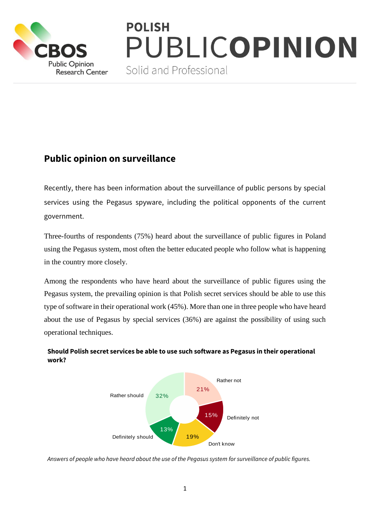

# **POLISH** PUBLICOPINION

Solid and Professional

# **Public opinion on surveillance**

Recently, there has been information about the surveillance of public persons by special services using the Pegasus spyware, including the political opponents of the current government.

Three-fourths of respondents (75%) heard about the surveillance of public figures in Poland using the Pegasus system, most often the better educated people who follow what is happening in the country more closely.

Among the respondents who have heard about the surveillance of public figures using the Pegasus system, the prevailing opinion is that Polish secret services should be able to use this type of software in their operational work (45%). More than one in three people who have heard about the use of Pegasus by special services (36%) are against the possibility of using such operational techniques.



#### **Should Polish secret services be able to use such software as Pegasus in their operational work?**

*Answers of people who have heard about the use of the Pegasus system for surveillance of public figures.*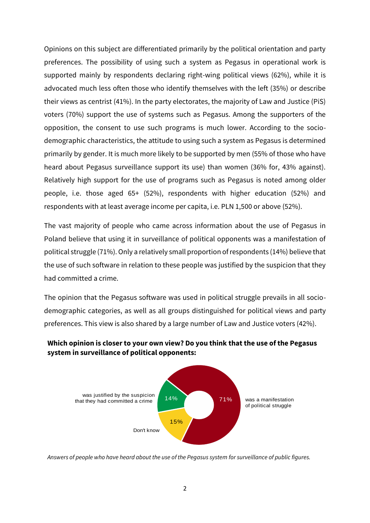Opinions on this subject are differentiated primarily by the political orientation and party preferences. The possibility of using such a system as Pegasus in operational work is supported mainly by respondents declaring right-wing political views (62%), while it is advocated much less often those who identify themselves with the left (35%) or describe their views as centrist (41%). In the party electorates, the majority of Law and Justice (PiS) voters (70%) support the use of systems such as Pegasus. Among the supporters of the opposition, the consent to use such programs is much lower. According to the sociodemographic characteristics, the attitude to using such a system as Pegasus is determined primarily by gender. It is much more likely to be supported by men (55% of those who have heard about Pegasus surveillance support its use) than women (36% for, 43% against). Relatively high support for the use of programs such as Pegasus is noted among older people, i.e. those aged 65+ (52%), respondents with higher education (52%) and respondents with at least average income per capita, i.e. PLN 1,500 or above (52%).

The vast majority of people who came across information about the use of Pegasus in Poland believe that using it in surveillance of political opponents was a manifestation of political struggle (71%). Only a relatively small proportion of respondents (14%) believe that the use of such software in relation to these people was justified by the suspicion that they had committed a crime.

The opinion that the Pegasus software was used in political struggle prevails in all sociodemographic categories, as well as all groups distinguished for political views and party preferences. This view is also shared by a large number of Law and Justice voters (42%).



that they had committed a crime  $14\%$   $71\%$  vas a manifestation

14% 71%

of political struggle

### **Which opinion is closer to your own view? Do you think that the use of the Pegasus system in surveillance of political opponents:**



15%

Don't know

was justified by the suspicion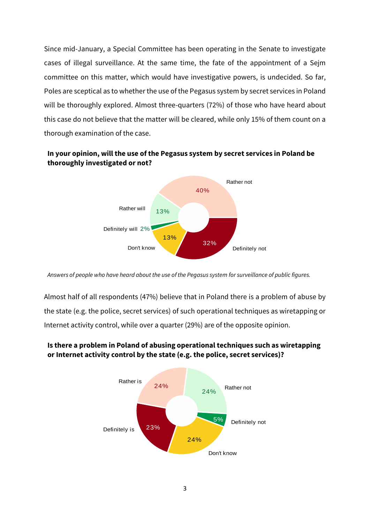Since mid-January, a Special Committee has been operating in the Senate to investigate cases of illegal surveillance. At the same time, the fate of the appointment of a Sejm committee on this matter, which would have investigative powers, is undecided. So far, Poles are sceptical as to whether the use of the Pegasus system by secret services in Poland will be thoroughly explored. Almost three-quarters (72%) of those who have heard about this case do not believe that the matter will be cleared, while only 15% of them count on a thorough examination of the case.

#### **In your opinion, will the use of the Pegasus system by secret services in Poland be thoroughly investigated or not?**



*Answers of people who have heard about the use of the Pegasus system for surveillance of public figures.*

Almost half of all respondents (47%) believe that in Poland there is a problem of abuse by the state (e.g. the police, secret services) of such operational techniques as wiretapping or Internet activity control, while over a quarter (29%) are of the opposite opinion.



### **Is there a problem in Poland of abusing operational techniques such as wiretapping or Internet activity control by the state (e.g. the police, secret services)?**